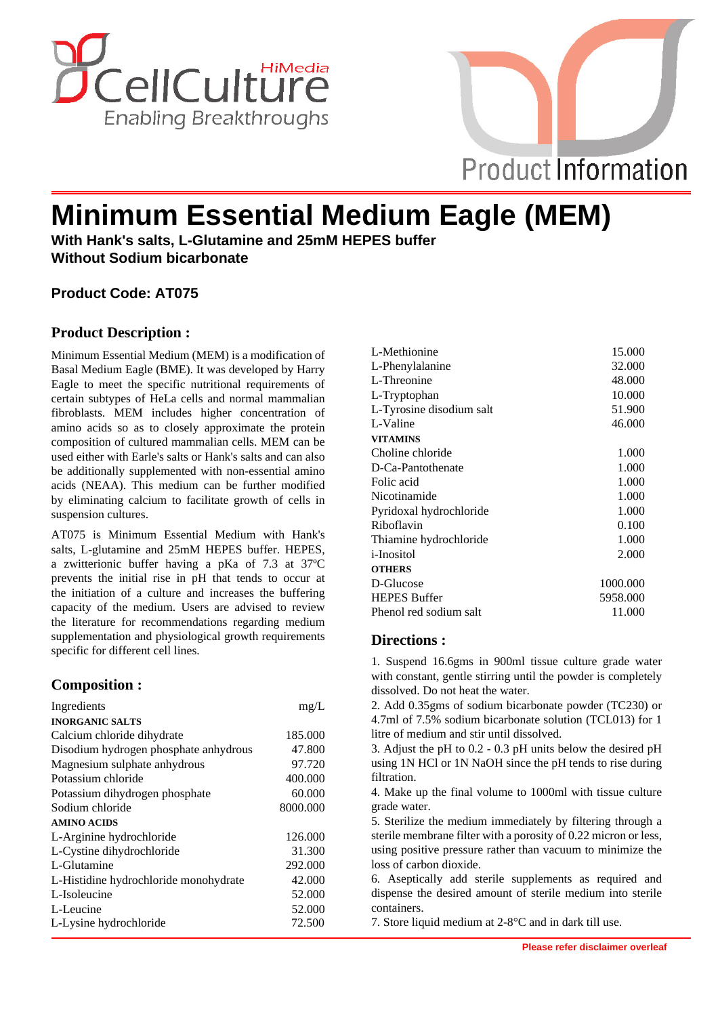



# **Minimum Essential Medium Eagle (MEM)**

**With Hank's salts, L-Glutamine and 25mM HEPES buffer Without Sodium bicarbonate**

### **Product Code: AT075**

#### **Product Description :**

Minimum Essential Medium (MEM) is a modification of Basal Medium Eagle (BME). It was developed by Harry Eagle to meet the specific nutritional requirements of certain subtypes of HeLa cells and normal mammalian fibroblasts. MEM includes higher concentration of amino acids so as to closely approximate the protein composition of cultured mammalian cells. MEM can be used either with Earle's salts or Hank's salts and can also be additionally supplemented with non-essential amino acids (NEAA). This medium can be further modified by eliminating calcium to facilitate growth of cells in suspension cultures.

AT075 is Minimum Essential Medium with Hank's salts, L-glutamine and 25mM HEPES buffer. HEPES, a zwitterionic buffer having a pKa of 7.3 at 37ºC prevents the initial rise in pH that tends to occur at the initiation of a culture and increases the buffering capacity of the medium. Users are advised to review the literature for recommendations regarding medium supplementation and physiological growth requirements specific for different cell lines.

#### **Composition :**

| Ingredients                           | mg/L     |
|---------------------------------------|----------|
| <b>INORGANIC SALTS</b>                |          |
| Calcium chloride dihydrate            | 185.000  |
| Disodium hydrogen phosphate anhydrous | 47.800   |
| Magnesium sulphate anhydrous          | 97.720   |
| Potassium chloride                    | 400.000  |
| Potassium dihydrogen phosphate        | 60.000   |
| Sodium chloride                       | 8000.000 |
| <b>AMINO ACIDS</b>                    |          |
| L-Arginine hydrochloride              | 126,000  |
| L-Cystine dihydrochloride             | 31.300   |
| L-Glutamine                           | 292.000  |
| L-Histidine hydrochloride monohydrate | 42.000   |
| L-Isoleucine                          | 52.000   |
| L-Leucine                             | 52.000   |
| L-Lysine hydrochloride                | 72.500   |

| L-Methionine             | 15.000   |
|--------------------------|----------|
| L-Phenylalanine          | 32.000   |
| L-Threonine              | 48.000   |
| L-Tryptophan             | 10.000   |
| L-Tyrosine disodium salt | 51.900   |
| L-Valine                 | 46.000   |
| <b>VITAMINS</b>          |          |
| Choline chloride         | 1.000    |
| D-Ca-Pantothenate        | 1.000    |
| Folic acid               | 1.000    |
| Nicotinamide             | 1.000    |
| Pyridoxal hydrochloride  | 1.000    |
| Riboflavin               | 0.100    |
| Thiamine hydrochloride   | 1.000    |
| <i>i</i> -Inositol       | 2.000    |
| <b>OTHERS</b>            |          |
| D-Glucose                | 1000.000 |
| <b>HEPES Buffer</b>      | 5958.000 |
| Phenol red sodium salt   | 11.000   |

#### **Directions :**

1. Suspend 16.6gms in 900ml tissue culture grade water with constant, gentle stirring until the powder is completely dissolved. Do not heat the water.

2. Add 0.35gms of sodium bicarbonate powder (TC230) or 4.7ml of 7.5% sodium bicarbonate solution (TCL013) for 1 litre of medium and stir until dissolved.

3. Adjust the pH to 0.2 - 0.3 pH units below the desired pH using 1N HCl or 1N NaOH since the pH tends to rise during filtration.

4. Make up the final volume to 1000ml with tissue culture grade water.

5. Sterilize the medium immediately by filtering through a sterile membrane filter with a porosity of 0.22 micron or less, using positive pressure rather than vacuum to minimize the loss of carbon dioxide.

6. Aseptically add sterile supplements as required and dispense the desired amount of sterile medium into sterile containers.

7. Store liquid medium at 2-8°C and in dark till use.